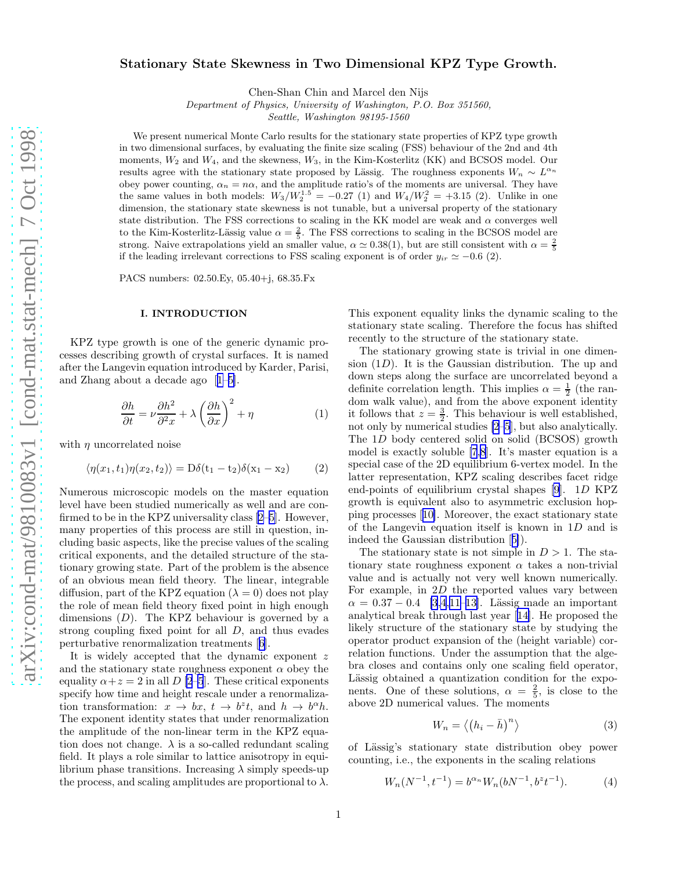# <span id="page-0-0"></span>Stationary State Skewness in Two Dimensional KPZ Type Growth.

Chen-Shan Chin and Marcel den Nijs

*Department of Physics, University of Washington, P.O. Box 351560,*

*Seattle, Washington 98195-1560*

We present numerical Monte Carlo results for the stationary state properties of KPZ type growth in two dimensional surfaces, by evaluating the finite size scaling (FSS) behaviour of the 2nd and 4th moments,  $W_2$  and  $W_4$ , and the skewness,  $W_3$ , in the Kim-Kosterlitz (KK) and BCSOS model. Our results agree with the stationary state proposed by Lässig. The roughness exponents  $W_n \sim L^{\alpha_n}$ obey power counting,  $\alpha_n = n\alpha$ , and the amplitude ratio's of the moments are universal. They have the same values in both models:  $W_3/W_2^{1.5} = -0.27$  (1) and  $W_4/W_2^2 = +3.15$  (2). Unlike in one dimension, the stationary state skewness is not tunable, but a universal property of the stationary state distribution. The FSS corrections to scaling in the KK model are weak and  $\alpha$  converges well to the Kim-Kosterlitz-Lässig value  $\alpha = \frac{2}{5}$ . The FSS corrections to scaling in the BCSOS model are strong. Naive extrapolations yield an smaller value,  $\alpha \simeq 0.38(1)$ , but are still consistent with  $\alpha = \frac{2}{5}$ if the leading irrelevant corrections to FSS scaling exponent is of order  $y_{ir} \simeq -0.6$  (2).

PACS numbers: 02.50.Ey, 05.40+j, 68.35.Fx

#### I. INTRODUCTION

KPZ type growth is one of the generic dynamic processes describing growth of crystal surfaces. It is named after the Langevin equation introduced by Karder, Parisi, and Zhang about a decade ago[[1–5\]](#page-5-0).

$$
\frac{\partial h}{\partial t} = \nu \frac{\partial h^2}{\partial^2 x} + \lambda \left(\frac{\partial h}{\partial x}\right)^2 + \eta \tag{1}
$$

with  $\eta$  uncorrelated noise

$$
\langle \eta(x_1, t_1)\eta(x_2, t_2) \rangle = \mathcal{D}\delta(t_1 - t_2)\delta(x_1 - x_2) \tag{2}
$$

Numerous microscopic models on the master equation level have been studied numerically as well and are confirmed to be in the KPZ universality class[[2–5\]](#page-5-0). However, many properties of this process are still in question, including basic aspects, like the precise values of the scaling critical exponents, and the detailed structure of the stationary growing state. Part of the problem is the absence of an obvious mean field theory. The linear, integrable diffusion, part of the KPZ equation  $(\lambda = 0)$  does not play the role of mean field theory fixed point in high enough dimensions  $(D)$ . The KPZ behaviour is governed by a strong coupling fixed point for all D, and thus evades perturbative renormalization treatments[[6\]](#page-5-0).

It is widely accepted that the dynamic exponent z and the stationary state roughness exponent  $\alpha$  obey the equality  $\alpha + z = 2$  in all D [\[2–5](#page-5-0)]. These critical exponents specify how time and height rescale under a renormalization transformation:  $x \to bx$ ,  $t \to b^z t$ , and  $h \to b^{\alpha} h$ . The exponent identity states that under renormalization the amplitude of the non-linear term in the KPZ equation does not change.  $\lambda$  is a so-called redundant scaling field. It plays a role similar to lattice anisotropy in equilibrium phase transitions. Increasing  $\lambda$  simply speeds-up the process, and scaling amplitudes are proportional to  $\lambda$ .

This exponent equality links the dynamic scaling to the stationary state scaling. Therefore the focus has shifted recently to the structure of the stationary state.

The stationary growing state is trivial in one dimension  $(1D)$ . It is the Gaussian distribution. The up and down steps along the surface are uncorrelated beyond a definite correlation length. This implies  $\alpha = \frac{1}{2}$  (the random walk value), and from the above exponent identity it follows that  $z = \frac{3}{2}$ . This behaviour is well established, not only by numerical studies [\[2–5](#page-5-0)], but also analytically. The 1D body centered solid on solid (BCSOS) growth model is exactly soluble [\[7,8](#page-5-0)]. It's master equation is a special case of the 2D equilibrium 6-vertex model. In the latter representation, KPZ scaling describes facet ridge end-points of equilibrium crystal shapes [\[9](#page-5-0)]. 1D KPZ growth is equivalent also to asymmetric exclusion hopping processes[[10\]](#page-5-0). Moreover, the exact stationary state of the Langevin equation itself is known in 1D and is indeed the Gaussian distribution[[5\]](#page-5-0)).

The stationary state is not simple in  $D > 1$ . The stationary state roughness exponent  $\alpha$  takes a non-trivial value and is actually not very well known numerically. For example, in 2D the reported values vary between  $\alpha = 0.37 - 0.4$  [\[3,4](#page-5-0),[11–13\]](#page-5-0). Lässig made an important analytical break through last year[[14\]](#page-5-0). He proposed the likely structure of the stationary state by studying the operator product expansion of the (height variable) correlation functions. Under the assumption that the algebra closes and contains only one scaling field operator, Lässig obtained a quantization condition for the exponents. One of these solutions,  $\alpha = \frac{2}{5}$ , is close to the above 2D numerical values. The moments

$$
W_n = \langle (h_i - \bar{h})^n \rangle \tag{3}
$$

of L¨assig's stationary state distribution obey power counting, i.e., the exponents in the scaling relations

$$
W_n(N^{-1}, t^{-1}) = b^{\alpha_n} W_n(bN^{-1}, b^z t^{-1}).
$$
\n(4)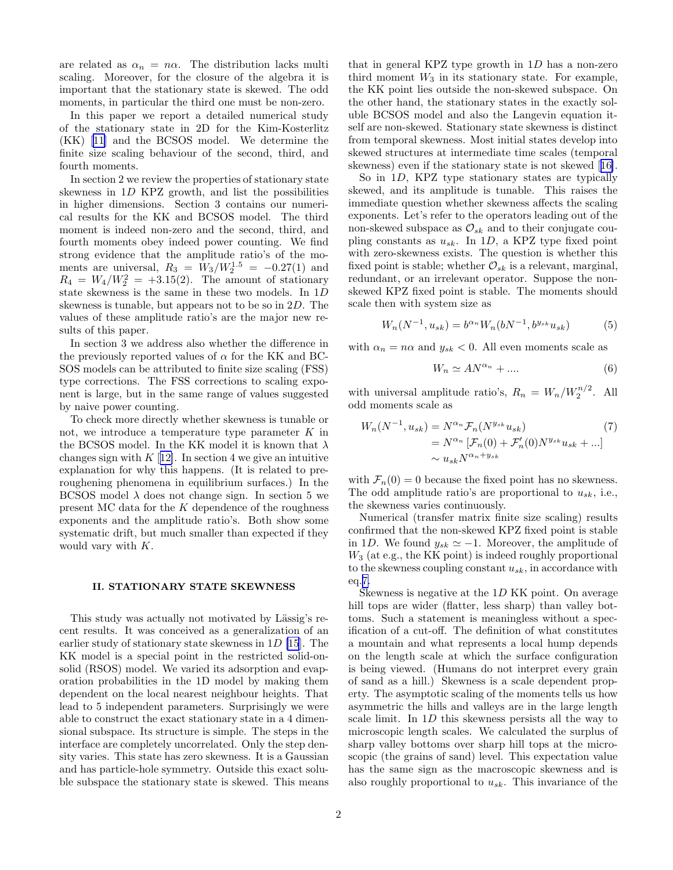are related as  $\alpha_n = n\alpha$ . The distribution lacks multi scaling. Moreover, for the closure of the algebra it is important that the stationary state is skewed. The odd moments, in particular the third one must be non-zero.

In this paper we report a detailed numerical study of the stationary state in 2D for the Kim-Kosterlitz (KK)[[11](#page-5-0)] and the BCSOS model. We determine the finite size scaling behaviour of the second, third, and fourth moments.

In section 2 we review the properties of stationary state skewness in 1D KPZ growth, and list the possibilities in higher dimensions. Section 3 contains our numerical results for the KK and BCSOS model. The third moment is indeed non-zero and the second, third, and fourth moments obey indeed power counting. We find strong evidence that the amplitude ratio's of the moments are universal,  $R_3 = W_3/W_2^{1.5} = -0.27(1)$  and  $R_4 = W_4/W_2^2 = +3.15(2)$ . The amount of stationary state skewness is the same in these two models. In 1D skewness is tunable, but appears not to be so in 2D. The values of these amplitude ratio's are the major new results of this paper.

In section 3 we address also whether the difference in the previously reported values of  $\alpha$  for the KK and BC-SOS models can be attributed to finite size scaling (FSS) type corrections. The FSS corrections to scaling exponent is large, but in the same range of values suggested by naive power counting.

To check more directly whether skewness is tunable or not, we introduce a temperature type parameter  $K$  in the BCSOS model. In the KK model it is known that  $\lambda$ changes sign with  $K$  [[12\]](#page-5-0). In section 4 we give an intuitive explanation for why this happens. (It is related to preroughening phenomena in equilibrium surfaces.) In the BCSOS model  $\lambda$  does not change sign. In section 5 we present MC data for the  $K$  dependence of the roughness exponents and the amplitude ratio's. Both show some systematic drift, but much smaller than expected if they would vary with K.

#### II. STATIONARY STATE SKEWNESS

This study was actually not motivated by Lässig's recent results. It was conceived as a generalization of an earlier study of stationary state skewness in  $1D$  [\[15](#page-5-0)]. The KK model is a special point in the restricted solid-onsolid (RSOS) model. We varied its adsorption and evaporation probabilities in the 1D model by making them dependent on the local nearest neighbour heights. That lead to 5 independent parameters. Surprisingly we were able to construct the exact stationary state in a 4 dimensional subspace. Its structure is simple. The steps in the interface are completely uncorrelated. Only the step density varies. This state has zero skewness. It is a Gaussian and has particle-hole symmetry. Outside this exact soluble subspace the stationary state is skewed. This means

that in general KPZ type growth in  $1D$  has a non-zero third moment  $W_3$  in its stationary state. For example, the KK point lies outside the non-skewed subspace. On the other hand, the stationary states in the exactly soluble BCSOS model and also the Langevin equation itself are non-skewed. Stationary state skewness is distinct from temporal skewness. Most initial states develop into skewed structures at intermediate time scales (temporal skewness) even if the stationary state is not skewed[[16\]](#page-5-0).

So in 1D, KPZ type stationary states are typically skewed, and its amplitude is tunable. This raises the immediate question whether skewness affects the scaling exponents. Let's refer to the operators leading out of the non-skewed subspace as  $\mathcal{O}_{sk}$  and to their conjugate coupling constants as  $u_{sk}$ . In 1D, a KPZ type fixed point with zero-skewness exists. The question is whether this fixed point is stable; whether  $\mathcal{O}_{sk}$  is a relevant, marginal, redundant, or an irrelevant operator. Suppose the nonskewed KPZ fixed point is stable. The moments should scale then with system size as

$$
W_n(N^{-1}, u_{sk}) = b^{\alpha_n} W_n(bN^{-1}, b^{y_{sk}} u_{sk})
$$
 (5)

with  $\alpha_n = n\alpha$  and  $y_{sk} < 0$ . All even moments scale as

$$
W_n \simeq AN^{\alpha_n} + \dots \tag{6}
$$

with universal amplitude ratio's,  $R_n = W_n/W_2^{n/2}$ . All odd moments scale as

$$
W_n(N^{-1}, u_{sk}) = N^{\alpha_n} \mathcal{F}_n(N^{y_{sk}} u_{sk})
$$
  
=  $N^{\alpha_n} [\mathcal{F}_n(0) + \mathcal{F}'_n(0) N^{y_{sk}} u_{sk} + ...]$   
 $\sim u_{sk} N^{\alpha_n + y_{sk}}$  (7)

with  $\mathcal{F}_n(0) = 0$  because the fixed point has no skewness. The odd amplitude ratio's are proportional to  $u_{sk}$ , i.e., the skewness varies continuously.

Numerical (transfer matrix finite size scaling) results confirmed that the non-skewed KPZ fixed point is stable in 1D. We found  $y_{sk} \simeq -1$ . Moreover, the amplitude of  $W_3$  (at e.g., the KK point) is indeed roughly proportional to the skewness coupling constant  $u_{sk}$ , in accordance with eq.7.

Skewness is negative at the 1D KK point. On average hill tops are wider (flatter, less sharp) than valley bottoms. Such a statement is meaningless without a specification of a cut-off. The definition of what constitutes a mountain and what represents a local hump depends on the length scale at which the surface configuration is being viewed. (Humans do not interpret every grain of sand as a hill.) Skewness is a scale dependent property. The asymptotic scaling of the moments tells us how asymmetric the hills and valleys are in the large length scale limit. In 1D this skewness persists all the way to microscopic length scales. We calculated the surplus of sharp valley bottoms over sharp hill tops at the microscopic (the grains of sand) level. This expectation value has the same sign as the macroscopic skewness and is also roughly proportional to  $u_{sk}$ . This invariance of the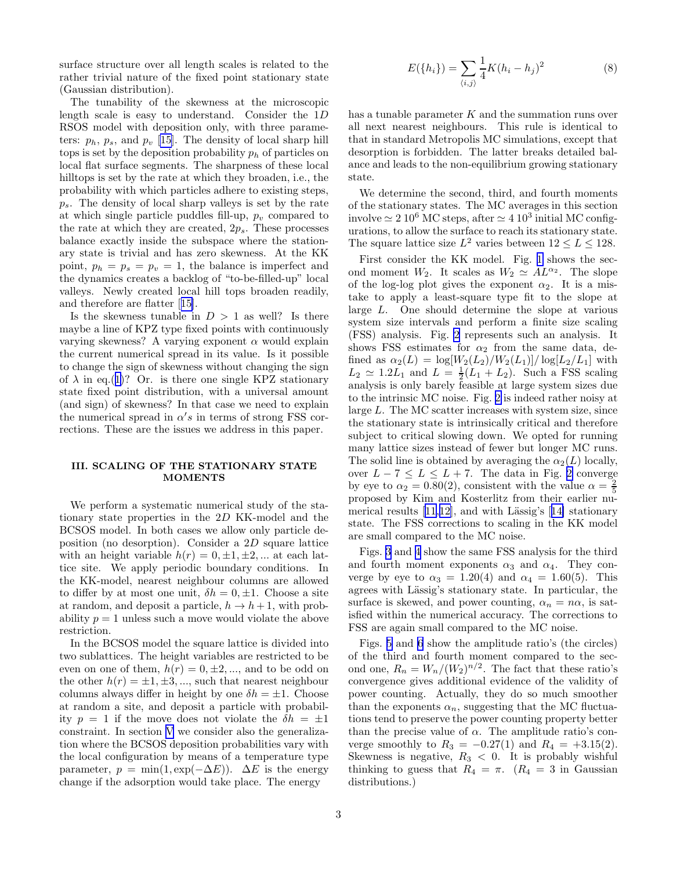<span id="page-2-0"></span>surface structure over all length scales is related to the rather trivial nature of the fixed point stationary state (Gaussian distribution).

The tunability of the skewness at the microscopic length scale is easy to understand. Consider the 1D RSOS model with deposition only, with three parameters:  $p_h$ ,  $p_s$ , and  $p_v$  [\[15](#page-5-0)]. The density of local sharp hill tops is set by the deposition probability  $p_h$  of particles on local flat surface segments. The sharpness of these local hilltops is set by the rate at which they broaden, i.e., the probability with which particles adhere to existing steps,  $p_s$ . The density of local sharp valleys is set by the rate at which single particle puddles fill-up,  $p_v$  compared to the rate at which they are created,  $2p_s$ . These processes balance exactly inside the subspace where the stationary state is trivial and has zero skewness. At the KK point,  $p_h = p_s = p_v = 1$ , the balance is imperfect and the dynamics creates a backlog of "to-be-filled-up" local valleys. Newly created local hill tops broaden readily, and therefore are flatter[[15\]](#page-5-0).

Is the skewness tunable in  $D > 1$  as well? Is there maybe a line of KPZ type fixed points with continuously varying skewness? A varying exponent  $\alpha$  would explain the current numerical spread in its value. Is it possible to change the sign of skewness without changing the sign of  $\lambda$  in eq.([1\)](#page-0-0)? Or. is there one single KPZ stationary state fixed point distribution, with a universal amount (and sign) of skewness? In that case we need to explain the numerical spread in  $\alpha's$  in terms of strong FSS corrections. These are the issues we address in this paper.

#### III. SCALING OF THE STATIONARY STATE MOMENTS

We perform a systematic numerical study of the stationary state properties in the 2D KK-model and the BCSOS model. In both cases we allow only particle deposition (no desorption). Consider a 2D square lattice with an height variable  $h(r) = 0, \pm 1, \pm 2, ...$  at each lattice site. We apply periodic boundary conditions. In the KK-model, nearest neighbour columns are allowed to differ by at most one unit,  $\delta h = 0, \pm 1$ . Choose a site at random, and deposit a particle,  $h \to h+1$ , with probability  $p = 1$  unless such a move would violate the above restriction.

In the BCSOS model the square lattice is divided into two sublattices. The height variables are restricted to be even on one of them,  $h(r) = 0, \pm 2, \dots$ , and to be odd on the other  $h(r) = \pm 1, \pm 3, \dots$ , such that nearest neighbour columns always differ in height by one  $\delta h = \pm 1$ . Choose at random a site, and deposit a particle with probability  $p = 1$  if the move does not violate the  $\delta h = \pm 1$ constraint. In section [V](#page-4-0) we consider also the generalization where the BCSOS deposition probabilities vary with the local configuration by means of a temperature type parameter,  $p = \min(1, \exp(-\Delta E))$ .  $\Delta E$  is the energy change if the adsorption would take place. The energy

$$
E(\{h_i\}) = \sum_{\langle i,j \rangle} \frac{1}{4} K (h_i - h_j)^2
$$
 (8)

has a tunable parameter  $K$  and the summation runs over all next nearest neighbours. This rule is identical to that in standard Metropolis MC simulations, except that desorption is forbidden. The latter breaks detailed balance and leads to the non-equilibrium growing stationary state.

We determine the second, third, and fourth moments of the stationary states. The MC averages in this section involve  $\simeq 2~10^6~\mathrm{MC}$  steps, after  $\simeq 4~10^3$  initial MC configurations, to allow the surface to reach its stationary state. The square lattice size  $L^2$  varies between  $12 \le L \le 128$ .

First consider the KK model. Fig. [1](#page-5-0) shows the second moment  $W_2$ . It scales as  $W_2 \simeq AL^{\alpha_2}$ . The slope of the log-log plot gives the exponent  $\alpha_2$ . It is a mistake to apply a least-square type fit to the slope at large L. One should determine the slope at various system size intervals and perform a finite size scaling (FSS) analysis. Fig. [2](#page-5-0) represents such an analysis. It shows FSS estimates for  $\alpha_2$  from the same data, defined as  $\alpha_2(L) = \log[W_2(L_2)/W_2(L_1)]/\log[L_2/L_1]$  with  $L_2 \simeq 1.2L_1$  and  $L = \frac{1}{2}(L_1 + L_2)$ . Such a FSS scaling analysis is only barely feasible at large system sizes due to the intrinsic MC noise. Fig. [2](#page-5-0) is indeed rather noisy at large L. The MC scatter increases with system size, since the stationary state is intrinsically critical and therefore subject to critical slowing down. We opted for running many lattice sizes instead of fewer but longer MC runs. The solid line is obtained by averaging the  $\alpha_2(L)$  locally, over  $L - 7 \le L \le L + 7$ . The data in Fig. [2](#page-5-0) converge by eye to  $\alpha_2 = 0.80(2)$ , consistent with the value  $\alpha = \frac{2}{5}$ proposed by Kim and Kosterlitz from their earlier numericalresults  $[11,12]$  $[11,12]$  $[11,12]$  $[11,12]$ , and with Lässig's  $[14]$  $[14]$  stationary state. The FSS corrections to scaling in the KK model are small compared to the MC noise.

Figs. [3](#page-6-0) and [4](#page-6-0) show the same FSS analysis for the third and fourth moment exponents  $\alpha_3$  and  $\alpha_4$ . They converge by eye to  $\alpha_3 = 1.20(4)$  and  $\alpha_4 = 1.60(5)$ . This agrees with Lässig's stationary state. In particular, the surface is skewed, and power counting,  $\alpha_n = n\alpha$ , is satisfied within the numerical accuracy. The corrections to FSS are again small compared to the MC noise.

Figs. [5](#page-6-0) and [6](#page-6-0) show the amplitude ratio's (the circles) of the third and fourth moment compared to the second one,  $R_n = W_n/(W_2)^{n/2}$ . The fact that these ratio's convergence gives additional evidence of the validity of power counting. Actually, they do so much smoother than the exponents  $\alpha_n$ , suggesting that the MC fluctuations tend to preserve the power counting property better than the precise value of  $\alpha$ . The amplitude ratio's converge smoothly to  $R_3 = -0.27(1)$  and  $R_4 = +3.15(2)$ . Skewness is negative,  $R_3 < 0$ . It is probably wishful thinking to guess that  $R_4 = \pi$ .  $(R_4 = 3 \text{ in Gaussian})$ distributions.)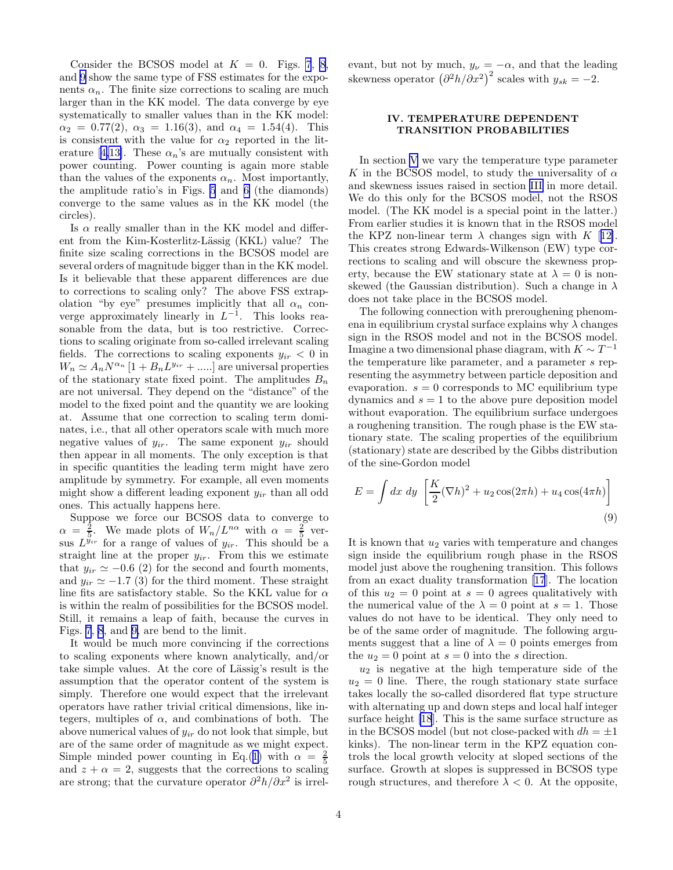Consider the BCSOS model at  $K = 0$ . Figs. [7](#page-7-0), [8](#page-7-0), and [9](#page-7-0) show the same type of FSS estimates for the exponents  $\alpha_n$ . The finite size corrections to scaling are much larger than in the KK model. The data converge by eye systematically to smaller values than in the KK model:  $\alpha_2 = 0.77(2), \ \alpha_3 = 1.16(3), \text{ and } \alpha_4 = 1.54(4).$  This is consistent with the value for  $\alpha_2$  reported in the lit-erature[[4,13\]](#page-5-0). These  $\alpha_n$ 's are mutually consistent with power counting. Power counting is again more stable than the values of the exponents  $\alpha_n$ . Most importantly, the amplitude ratio's in Figs. [5](#page-6-0) and [6](#page-6-0) (the diamonds) converge to the same values as in the KK model (the circles).

Is  $\alpha$  really smaller than in the KK model and different from the Kim-Kosterlitz-Lässig (KKL) value? The finite size scaling corrections in the BCSOS model are several orders of magnitude bigger than in the KK model. Is it believable that these apparent differences are due to corrections to scaling only? The above FSS extrapolation "by eye" presumes implicitly that all  $\alpha_n$  converge approximately linearly in  $L^{-1}$ . This looks reasonable from the data, but is too restrictive. Corrections to scaling originate from so-called irrelevant scaling fields. The corrections to scaling exponents  $y_{ir} < 0$  in  $W_n \simeq A_n N^{\alpha_n} [1 + B_n L^{y_{ir}} + \dots]$  are universal properties of the stationary state fixed point. The amplitudes  $B_n$ are not universal. They depend on the "distance" of the model to the fixed point and the quantity we are looking at. Assume that one correction to scaling term dominates, i.e., that all other operators scale with much more negative values of  $y_{ir}$ . The same exponent  $y_{ir}$  should then appear in all moments. The only exception is that in specific quantities the leading term might have zero amplitude by symmetry. For example, all even moments might show a different leading exponent  $y_{ir}$  than all odd ones. This actually happens here.

Suppose we force our BCSOS data to converge to  $\alpha = \frac{2}{5}$ . We made plots of  $W_n/L^{n\alpha}$  with  $\alpha = \frac{2}{5}$  versus  $L^{y_{ir}}$  for a range of values of  $y_{ir}$ . This should be a straight line at the proper  $y_{ir}$ . From this we estimate that  $y_{ir} \simeq -0.6$  (2) for the second and fourth moments, and  $y_{ir} \simeq -1.7$  (3) for the third moment. These straight line fits are satisfactory stable. So the KKL value for  $\alpha$ is within the realm of possibilities for the BCSOS model. Still, it remains a leap of faith, because the curves in Figs. [7](#page-7-0), [8](#page-7-0), and [9,](#page-7-0) are bend to the limit.

It would be much more convincing if the corrections to scaling exponents where known analytically, and/or take simple values. At the core of Lässig's result is the assumption that the operator content of the system is simply. Therefore one would expect that the irrelevant operators have rather trivial critical dimensions, like integers, multiples of  $\alpha$ , and combinations of both. The above numerical values of  $y_{ir}$  do not look that simple, but are of the same order of magnitude as we might expect. Simple minded power counting in Eq.([1\)](#page-0-0) with  $\alpha = \frac{2}{5}$ and  $z + \alpha = 2$ , suggests that the corrections to scaling are strong; that the curvature operator  $\partial^2 h / \partial x^2$  is irrelevant, but not by much,  $y_{\nu} = -\alpha$ , and that the leading skewness operator  $(\partial^2 h/\partial x^2)^2$  scales with  $y_{sk} = -2$ .

## IV. TEMPERATURE DEPENDENT TRANSITION PROBABILITIES

In section [V](#page-4-0) we vary the temperature type parameter K in the BCSOS model, to study the universality of  $\alpha$ and skewness issues raised in section [III](#page-2-0) in more detail. We do this only for the BCSOS model, not the RSOS model. (The KK model is a special point in the latter.) From earlier studies it is known that in the RSOS model the KPZ non-linear term  $\lambda$  changes sign with K [[12\]](#page-5-0). This creates strong Edwards-Wilkenson (EW) type corrections to scaling and will obscure the skewness property, because the EW stationary state at  $\lambda = 0$  is nonskewed (the Gaussian distribution). Such a change in  $\lambda$ does not take place in the BCSOS model.

The following connection with preroughening phenomena in equilibrium crystal surface explains why  $\lambda$  changes sign in the RSOS model and not in the BCSOS model. Imagine a two dimensional phase diagram, with  $K \sim T^{-1}$ the temperature like parameter, and a parameter s representing the asymmetry between particle deposition and evaporation.  $s = 0$  corresponds to MC equilibrium type dynamics and  $s = 1$  to the above pure deposition model without evaporation. The equilibrium surface undergoes a roughening transition. The rough phase is the EW stationary state. The scaling properties of the equilibrium (stationary) state are described by the Gibbs distribution of the sine-Gordon model

$$
E = \int dx \, dy \, \left[ \frac{K}{2} (\nabla h)^2 + u_2 \cos(2\pi h) + u_4 \cos(4\pi h) \right]
$$
\n(9)

It is known that  $u_2$  varies with temperature and changes sign inside the equilibrium rough phase in the RSOS model just above the roughening transition. This follows from an exact duality transformation [\[17](#page-5-0)]. The location of this  $u_2 = 0$  point at  $s = 0$  agrees qualitatively with the numerical value of the  $\lambda = 0$  point at  $s = 1$ . Those values do not have to be identical. They only need to be of the same order of magnitude. The following arguments suggest that a line of  $\lambda = 0$  points emerges from the  $u_2 = 0$  point at  $s = 0$  into the s direction.

 $u_2$  is negative at the high temperature side of the  $u_2 = 0$  line. There, the rough stationary state surface takes locally the so-called disordered flat type structure with alternating up and down steps and local half integer surface height [\[18](#page-5-0)]. This is the same surface structure as in the BCSOS model (but not close-packed with  $dh = \pm 1$ ) kinks). The non-linear term in the KPZ equation controls the local growth velocity at sloped sections of the surface. Growth at slopes is suppressed in BCSOS type rough structures, and therefore  $\lambda < 0$ . At the opposite,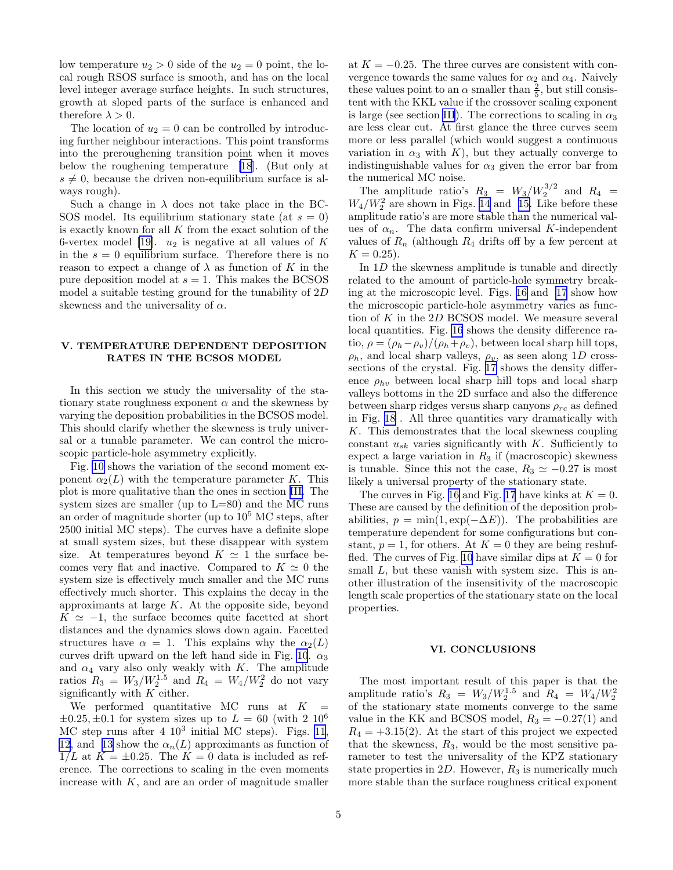<span id="page-4-0"></span>low temperature  $u_2 > 0$  side of the  $u_2 = 0$  point, the local rough RSOS surface is smooth, and has on the local level integer average surface heights. In such structures, growth at sloped parts of the surface is enhanced and therefore  $\lambda > 0$ .

The location of  $u_2 = 0$  can be controlled by introducing further neighbour interactions. This point transforms into the preroughening transition point when it moves below the roughening temperature [\[18](#page-5-0)]. (But only at  $s \neq 0$ , because the driven non-equilibrium surface is always rough).

Such a change in  $\lambda$  does not take place in the BC-SOS model. Its equilibrium stationary state (at  $s = 0$ ) is exactly known for all  $K$  from the exact solution of the 6-vertex model [\[19\]](#page-5-0).  $u_2$  is negative at all values of K in the  $s = 0$  equilibrium surface. Therefore there is no reason to expect a change of  $\lambda$  as function of K in the pure deposition model at  $s = 1$ . This makes the BCSOS model a suitable testing ground for the tunability of 2D skewness and the universality of  $\alpha$ .

### V. TEMPERATURE DEPENDENT DEPOSITION RATES IN THE BCSOS MODEL

In this section we study the universality of the stationary state roughness exponent  $\alpha$  and the skewness by varying the deposition probabilities in the BCSOS model. This should clarify whether the skewness is truly universal or a tunable parameter. We can control the microscopic particle-hole asymmetry explicitly.

Fig. [10](#page-7-0) shows the variation of the second moment exponent  $\alpha_2(L)$  with the temperature parameter K. This plot is more qualitative than the ones in section [III.](#page-2-0) The system sizes are smaller (up to  $L=80$ ) and the MC runs an order of magnitude shorter (up to  $10<sup>5</sup>$  MC steps, after 2500 initial MC steps). The curves have a definite slope at small system sizes, but these disappear with system size. At temperatures beyond  $K \simeq 1$  the surface becomes very flat and inactive. Compared to  $K \simeq 0$  the system size is effectively much smaller and the MC runs effectively much shorter. This explains the decay in the approximants at large  $K$ . At the opposite side, beyond  $K \simeq -1$ , the surface becomes quite facetted at short distances and the dynamics slows down again. Facetted structures have  $\alpha = 1$ . This explains why the  $\alpha_2(L)$ curves drift upward on the left hand side in Fig. [10](#page-7-0).  $\alpha_3$ and  $\alpha_4$  vary also only weakly with K. The amplitude ratios  $R_3 = W_3/W_2^{1.5}$  and  $R_4 = W_4/W_2^{2}$  do not vary significantly with  $K$  either.

We performed quantitative MC runs at  $K$  $\pm 0.25, \pm 0.1$  for system sizes up to  $L = 60$  (with 2 10<sup>6</sup>) MC step runs after  $4 \times 10^3$  initial MC steps). Figs. [11](#page-7-0), [12](#page-8-0), and [13](#page-8-0) show the  $\alpha_n(L)$  approximants as function of  $1/L$  at  $K = \pm 0.25$ . The  $K = 0$  data is included as reference. The corrections to scaling in the even moments increase with  $K$ , and are an order of magnitude smaller

at  $K = -0.25$ . The three curves are consistent with convergence towards the same values for  $\alpha_2$  and  $\alpha_4$ . Naively these values point to an  $\alpha$  smaller than  $\frac{2}{5}$ , but still consistent with the KKL value if the crossover scaling exponent is large (see section [III](#page-2-0)). The corrections to scaling in  $\alpha_3$ are less clear cut. At first glance the three curves seem more or less parallel (which would suggest a continuous variation in  $\alpha_3$  with K), but they actually converge to indistinguishable values for  $\alpha_3$  given the error bar from the numerical MC noise.

The amplitude ratio's  $R_3 = W_3/W_2^{3/2}$  and  $R_4 =$  $W_4/W_2^2$  are shown in Figs. [14](#page-8-0) and [15.](#page-8-0) Like before these amplitude ratio's are more stable than the numerical values of  $\alpha_n$ . The data confirm universal K-independent values of  $R_n$  (although  $R_4$  drifts off by a few percent at  $K = 0.25$ .

In 1D the skewness amplitude is tunable and directly related to the amount of particle-hole symmetry breaking at the microscopic level. Figs. [16](#page-9-0) and [17](#page-9-0) show how the microscopic particle-hole asymmetry varies as function of K in the 2D BCSOS model. We measure several local quantities. Fig. [16](#page-9-0) shows the density difference ratio,  $\rho = (\rho_h - \rho_v)/(\rho_h + \rho_v)$ , between local sharp hill tops,  $\rho_h$ , and local sharp valleys,  $\rho_v$ , as seen along 1D crosssections of the crystal. Fig. [17](#page-9-0) shows the density difference  $\rho_{hv}$  between local sharp hill tops and local sharp valleys bottoms in the 2D surface and also the difference between sharp ridges versus sharp canyons  $\rho_{rc}$  as defined in Fig. [18](#page-9-0) . All three quantities vary dramatically with K. This demonstrates that the local skewness coupling constant  $u_{sk}$  varies significantly with K. Sufficiently to expect a large variation in  $R_3$  if (macroscopic) skewness is tunable. Since this not the case,  $R_3 \simeq -0.27$  is most likely a universal property of the stationary state.

The curves in Fig. [16](#page-9-0) and Fig. [17](#page-9-0) have kinks at  $K = 0$ . These are caused by the definition of the deposition probabilities,  $p = \min(1, \exp(-\Delta E))$ . The probabilities are temperature dependent for some configurations but constant,  $p = 1$ , for others. At  $K = 0$  they are being reshuf-fled. The curves of Fig. [10](#page-7-0) have similar dips at  $K = 0$  for small L, but these vanish with system size. This is another illustration of the insensitivity of the macroscopic length scale properties of the stationary state on the local properties.

#### VI. CONCLUSIONS

The most important result of this paper is that the amplitude ratio's  $R_3 = W_3/W_2^{1.5}$  and  $R_4 = W_4/W_2^{2.5}$ of the stationary state moments converge to the same value in the KK and BCSOS model,  $R_3 = -0.27(1)$  and  $R_4 = +3.15(2)$ . At the start of this project we expected that the skewness,  $R_3$ , would be the most sensitive parameter to test the universality of the KPZ stationary state properties in  $2D$ . However,  $R_3$  is numerically much more stable than the surface roughness critical exponent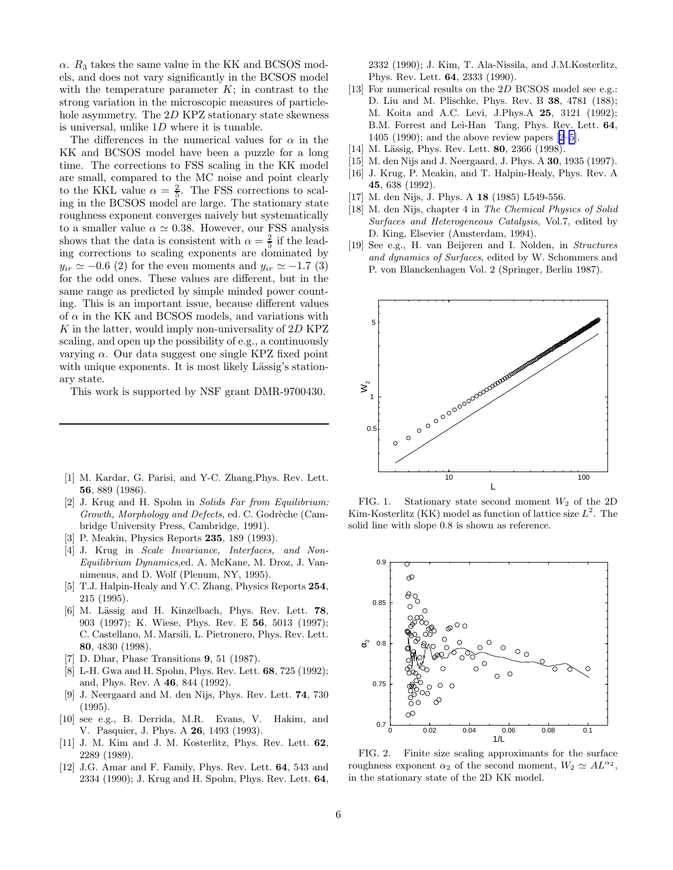<span id="page-5-0"></span> $\alpha$ .  $R_3$  takes the same value in the KK and BCSOS models, and does not vary significantly in the BCSOS model with the temperature parameter  $K$ ; in contrast to the strong variation in the microscopic measures of particlehole asymmetry. The 2D KPZ stationary state skewness is universal, unlike 1D where it is tunable.

The differences in the numerical values for  $\alpha$  in the KK and BCSOS model have been a puzzle for a long time. The corrections to FSS scaling in the KK model are small, compared to the MC noise and point clearly to the KKL value  $\alpha = \frac{2}{5}$ . The FSS corrections to scaling in the BCSOS model are large. The stationary state roughness exponent converges naively but systematically to a smaller value  $\alpha \simeq 0.38$ . However, our FSS analysis shows that the data is consistent with  $\alpha = \frac{2}{5}$  if the leading corrections to scaling exponents are dominated by  $y_{ir} \simeq -0.6$  (2) for the even moments and  $y_{ir} \simeq -1.7$  (3) for the odd ones. These values are different, but in the same range as predicted by simple minded power counting. This is an important issue, because different values of  $\alpha$  in the KK and BCSOS models, and variations with  $K$  in the latter, would imply non-universality of  $2D$  KPZ scaling, and open up the possibility of e.g., a continuously varying  $\alpha$ . Our data suggest one single KPZ fixed point with unique exponents. It is most likely Lässig's stationary state.

This work is supported by NSF grant DMR-9700430.

- [1] M. Kardar, G. Parisi, and Y-C. Zhang,Phys. Rev. Lett. 56, 889 (1986).
- [2] J. Krug and H. Spohn in *Solids Far from Equilibrium:* Growth, Morphology and Defects, ed. C. Godrèche (Cambridge University Press, Cambridge, 1991).
- [3] P. Meakin, Physics Reports 235, 189 (1993).
- [4] J. Krug in *Scale Invariance, Interfaces, and Non-Equilibrium Dynamics*,ed. A. McKane, M. Droz, J. Vannimenus, and D. Wolf (Plenum, NY, 1995).
- [5] T.J. Halpin-Healy and Y.C. Zhang, Physics Reports 254, 215 (1995).
- [6] M. Lässig and H. Kinzelbach, Phys. Rev. Lett. 78, 903 (1997); K. Wiese, Phys. Rev. E 56, 5013 (1997); C. Castellano, M. Marsili, L. Pietronero, Phys. Rev. Lett. 80, 4830 (1998).
- [7] D. Dhar, Phase Transitions 9, 51 (1987).
- [8] L-H. Gwa and H. Spohn, Phys. Rev. Lett. 68, 725 (1992); and, Phys. Rev. A 46, 844 (1992).
- [9] J. Neergaard and M. den Nijs, Phys. Rev. Lett. 74, 730 (1995).
- [10] see e.g., B. Derrida, M.R. Evans, V. Hakim, and V. Pasquier, J. Phys. A 26, 1493 (1993).
- [11] J. M. Kim and J. M. Kosterlitz, Phys. Rev. Lett. 62, 2289 (1989).
- [12] J.G. Amar and F. Family, Phys. Rev. Lett. 64, 543 and 2334 (1990); J. Krug and H. Spohn, Phys. Rev. Lett. 64,

2332 (1990); J. Kim, T. Ala-Nissila, and J.M.Kosterlitz, Phys. Rev. Lett. 64, 2333 (1990).

- [13] For numerical results on the 2D BCSOS model see e.g.: D. Liu and M. Plischke, Phys. Rev. B 38, 4781 (188); M. Koita and A.C. Levi, J.Phys.A 25, 3121 (1992); B.M. Forrest and Lei-Han Tang, Phys. Rev. Lett. 64, 1405 (1990); and the above review papers [2–5].
- [14] M. Lässig, Phys. Rev. Lett. 80, 2366 (1998).
- [15] M. den Nijs and J. Neergaard, J. Phys. A 30, 1935 (1997).
- [16] J. Krug, P. Meakin, and T. Halpin-Healy, Phys. Rev. A 45, 638 (1992).
- [17] M. den Nijs, J. Phys. A 18 (1985) L549-556.
- [18] M. den Nijs, chapter 4 in *The Chemical Physics of Solid Surfaces and Heterogeneous Catalysis*, Vol.7, edited by D. King, Elsevier (Amsterdam, 1994).
- [19] See e.g., H. van Beijeren and I. Nolden, in *Structures and dynamics of Surfaces*, edited by W. Schommers and P. von Blanckenhagen Vol. 2 (Springer, Berlin 1987).



FIG. 1. Stationary state second moment  $W_2$  of the 2D Kim-Kosterlitz (KK) model as function of lattice size  $L^2$ . The solid line with slope 0.8 is shown as reference.



FIG. 2. Finite size scaling approximants for the surface roughness exponent  $\alpha_2$  of the second moment,  $W_2 \simeq AL^{\alpha_2}$ , in the stationary state of the 2D KK model.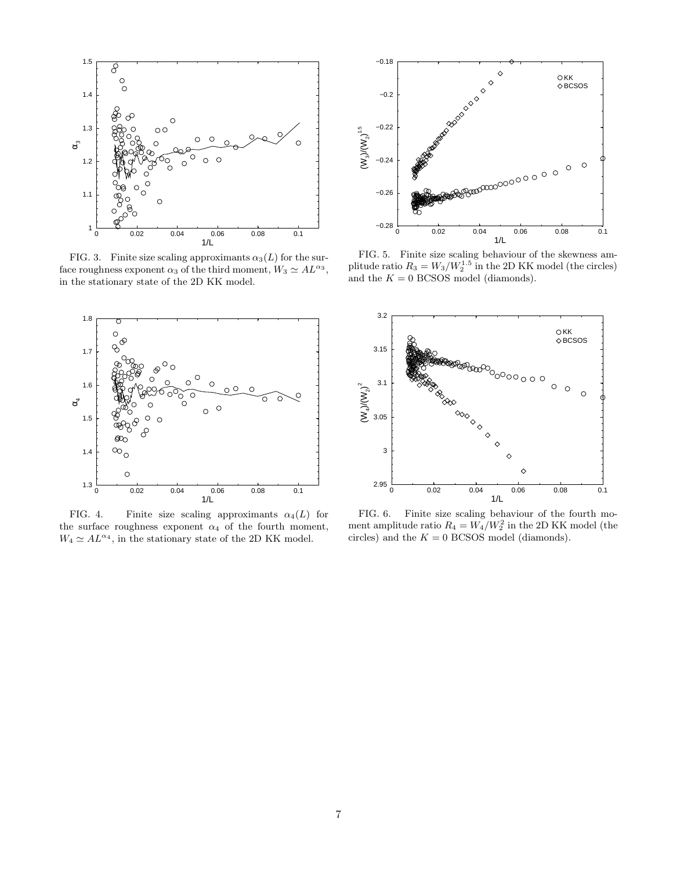<span id="page-6-0"></span>

FIG. 3. Finite size scaling approximants  $\alpha_3(L)$  for the surface roughness exponent  $\alpha_3$  of the third moment,  $W_3 \simeq A L^{\alpha_3}$ , in the stationary state of the 2D KK model.



FIG. 4. Finite size scaling approximants  $\alpha_4(L)$  for the surface roughness exponent  $\alpha_4$  of the fourth moment,  $W_4 \simeq A L^{\alpha_4}$ , in the stationary state of the 2D KK model.



FIG. 5. Finite size scaling behaviour of the skewness amplitude ratio  $R_3 = W_3/W_2^{1.5}$  in the 2D KK model (the circles) and the  $K = 0$  BCSOS model (diamonds).



FIG. 6. Finite size scaling behaviour of the fourth moment amplitude ratio  $R_4 = W_4/W_2^2$  in the 2D KK model (the circles) and the  $K = 0$  BCSOS model (diamonds).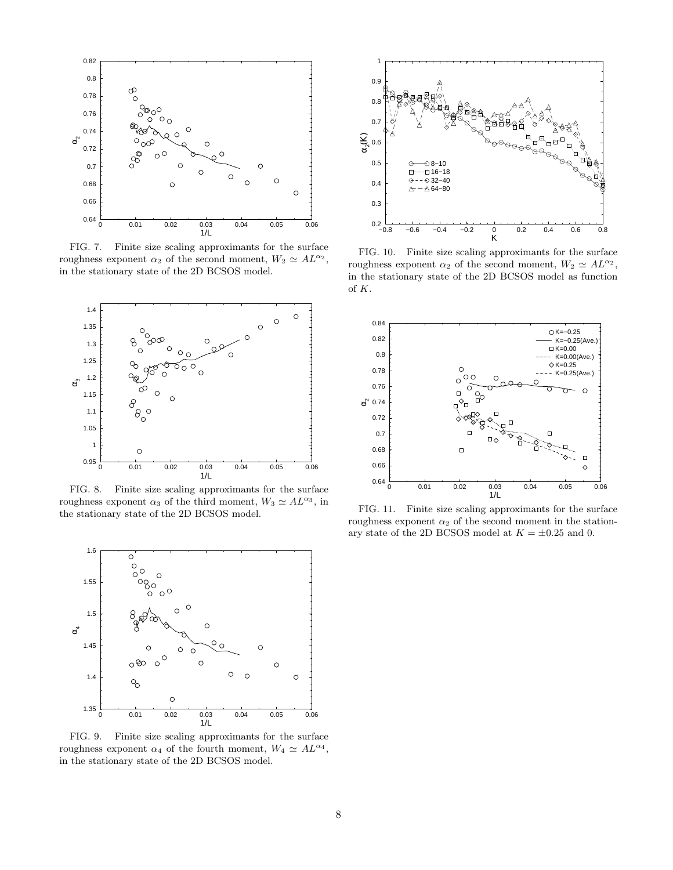<span id="page-7-0"></span>

FIG. 7. Finite size scaling approximants for the surface roughness exponent  $\alpha_2$  of the second moment,  $W_2 \simeq AL^{\alpha_2}$ , in the stationary state of the 2D BCSOS model.



FIG. 8. Finite size scaling approximants for the surface roughness exponent  $\alpha_3$  of the third moment,  $W_3 \simeq A L^{\alpha_3}$ , in the stationary state of the 2D BCSOS model.



FIG. 9. Finite size scaling approximants for the surface roughness exponent  $\alpha_4$  of the fourth moment,  $W_4 \simeq A L^{\alpha_4}$ , in the stationary state of the 2D BCSOS model.



FIG. 10. Finite size scaling approximants for the surface roughness exponent  $\alpha_2$  of the second moment,  $W_2 \simeq AL^{\alpha_2}$ , in the stationary state of the 2D BCSOS model as function of K.



FIG. 11. Finite size scaling approximants for the surface roughness exponent  $\alpha_2$  of the second moment in the stationary state of the 2D BCSOS model at  $K = \pm 0.25$  and 0.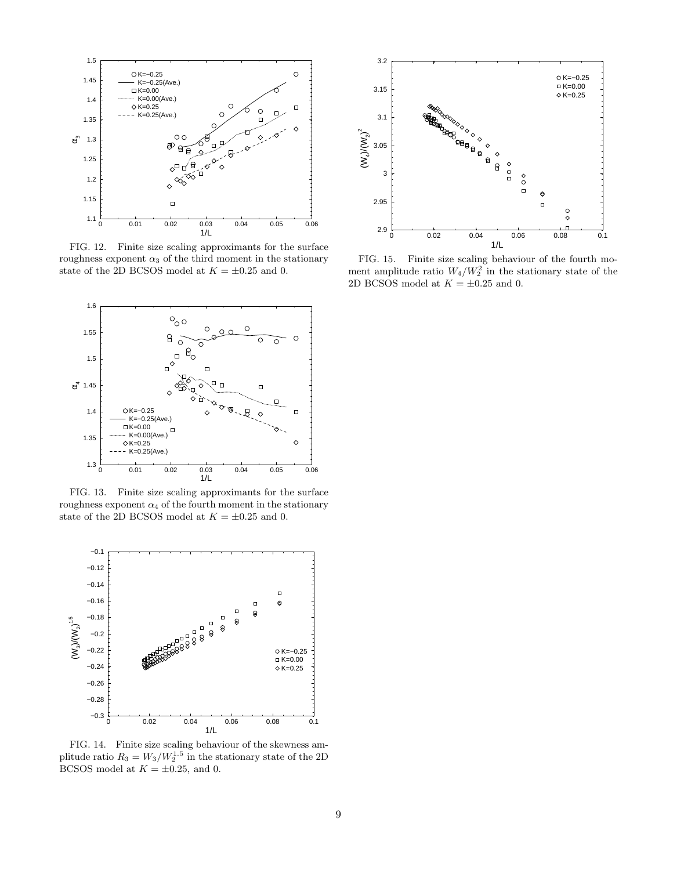<span id="page-8-0"></span>

FIG. 12. Finite size scaling approximants for the surface roughness exponent  $\alpha_3$  of the third moment in the stationary state of the 2D BCSOS model at  $K=\pm 0.25$  and 0.



FIG. 13. Finite size scaling approximants for the surface roughness exponent  $\alpha_4$  of the fourth moment in the stationary state of the 2D BCSOS model at  $K = \pm 0.25$  and 0.



FIG. 14. Finite size scaling behaviour of the skewness amplitude ratio  $R_3 = W_3/W_2^{1.5}$  in the stationary state of the 2D BCSOS model at  $K = \pm 0.25$ , and 0.



FIG. 15. Finite size scaling behaviour of the fourth moment amplitude ratio  $W_4/W_2^2$  in the stationary state of the 2D BCSOS model at  $K = \pm 0.25$  and 0.